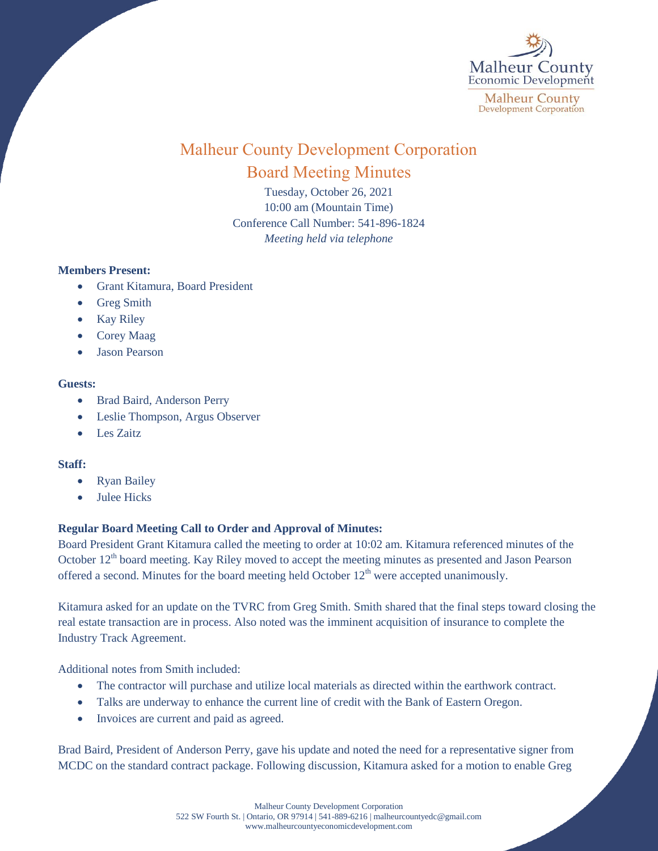

# Malheur County Development Corporation Board Meeting Minutes

Tuesday, October 26, 2021 10:00 am (Mountain Time) Conference Call Number: 541-896-1824 *Meeting held via telephone*

### **Members Present:**

- Grant Kitamura, Board President
- Greg Smith
- Kay Riley
- Corey Maag
- Jason Pearson

### **Guests:**

- Brad Baird, Anderson Perry
- Leslie Thompson, Argus Observer
- Les Zaitz

### **Staff:**

- Ryan Bailey
- Julee Hicks

## **Regular Board Meeting Call to Order and Approval of Minutes:**

Board President Grant Kitamura called the meeting to order at 10:02 am. Kitamura referenced minutes of the October 12<sup>th</sup> board meeting. Kay Riley moved to accept the meeting minutes as presented and Jason Pearson offered a second. Minutes for the board meeting held October  $12<sup>th</sup>$  were accepted unanimously.

Kitamura asked for an update on the TVRC from Greg Smith. Smith shared that the final steps toward closing the real estate transaction are in process. Also noted was the imminent acquisition of insurance to complete the Industry Track Agreement.

Additional notes from Smith included:

- The contractor will purchase and utilize local materials as directed within the earthwork contract.
- Talks are underway to enhance the current line of credit with the Bank of Eastern Oregon.
- Invoices are current and paid as agreed.

Brad Baird, President of Anderson Perry, gave his update and noted the need for a representative signer from MCDC on the standard contract package. Following discussion, Kitamura asked for a motion to enable Greg